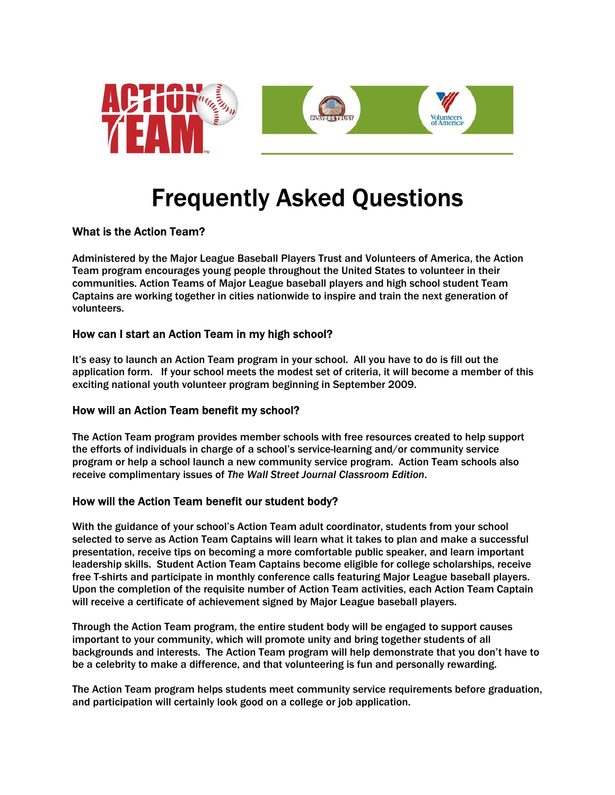

# Frequently Asked Questions

# What is the Action Team?

Administered by the Major League Baseball Players Trust and Volunteers of America, the Action Team program encourages young people throughout the United States to volunteer in their communities. Action Teams of Major League baseball players and high school student Team Captains are working together in cities nationwide to inspire and train the next generation of volunteers.

## How can I start an Action Team in my high school?

It's easy to launch an Action Team program in your school. All you have to do is fill out the application form. If your school meets the modest set of criteria, it will become a member of this exciting national youth volunteer program beginning in September 2009.

#### How will an Action Team benefit my school?

The Action Team program provides member schools with free resources created to help support the efforts of individuals in charge of a school's service-learning and/or community service program or help a school launch a new community service program. Action Team schools also receive complimentary issues of *The Wall Street Journal Classroom Edition*.

# How will the Action Team benefit our student body?

With the guidance of your school's Action Team adult coordinator, students from your school selected to serve as Action Team Captains will learn what it takes to plan and make a successful presentation, receive tips on becoming a more comfortable public speaker, and learn important leadership skills. Student Action Team Captains become eligible for college scholarships, receive free T-shirts and participate in monthly conference calls featuring Major League baseball players. Upon the completion of the requisite number of Action Team activities, each Action Team Captain will receive a certificate of achievement signed by Major League baseball players.

Through the Action Team program, the entire student body will be engaged to support causes important to your community, which will promote unity and bring together students of all backgrounds and interests. The Action Team program will help demonstrate that you don't have to be a celebrity to make a difference, and that volunteering is fun and personally rewarding.

The Action Team program helps students meet community service requirements before graduation, and participation will certainly look good on a college or job application.